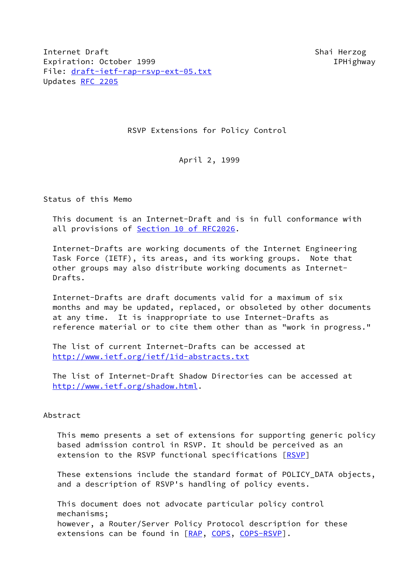Internet Draft Shai Herzog Shai Herzog Shai Herzog Expiration: October 1999 **IPHighway** File: [draft-ietf-rap-rsvp-ext-05.txt](https://datatracker.ietf.org/doc/pdf/draft-ietf-rap-rsvp-ext-05.txt) Updates [RFC 2205](https://datatracker.ietf.org/doc/pdf/rfc2205)

RSVP Extensions for Policy Control

April 2, 1999

Status of this Memo

 This document is an Internet-Draft and is in full conformance with all provisions of Section [10 of RFC2026](https://datatracker.ietf.org/doc/pdf/rfc2026#section-10).

 Internet-Drafts are working documents of the Internet Engineering Task Force (IETF), its areas, and its working groups. Note that other groups may also distribute working documents as Internet- Drafts.

 Internet-Drafts are draft documents valid for a maximum of six months and may be updated, replaced, or obsoleted by other documents at any time. It is inappropriate to use Internet-Drafts as reference material or to cite them other than as "work in progress."

 The list of current Internet-Drafts can be accessed at <http://www.ietf.org/ietf/1id-abstracts.txt>

 The list of Internet-Draft Shadow Directories can be accessed at <http://www.ietf.org/shadow.html>.

# Abstract

 This memo presents a set of extensions for supporting generic policy based admission control in RSVP. It should be perceived as an extension to the RSVP functional specifications [\[RSVP](#page-10-0)]

 These extensions include the standard format of POLICY\_DATA objects, and a description of RSVP's handling of policy events.

 This document does not advocate particular policy control mechanisms; however, a Router/Server Policy Protocol description for these extensions can be found in [[RAP,](#page-10-1) [COPS](#page-10-2), [COPS-RSVP\]](#page-10-3).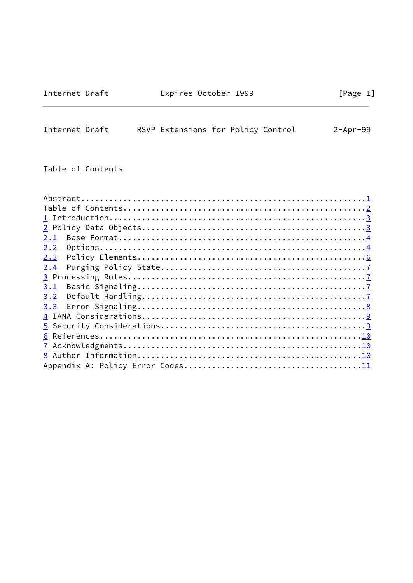# Internet Draft Expires October 1999 [Page 1]

<span id="page-1-0"></span>

| Internet Draft | RSVP Extensions for Policy Control |  | $2 - Apr - 99$ |
|----------------|------------------------------------|--|----------------|
|                |                                    |  |                |

Table of Contents

| 2.1 |
|-----|
| 2.2 |
| 2.3 |
| 2.4 |
|     |
| 3.1 |
| 3.2 |
| 3.3 |
|     |
|     |
|     |
|     |
|     |
|     |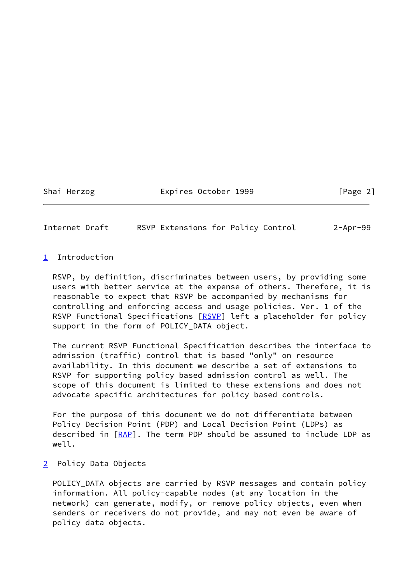#### Shai Herzog Expires October 1999 [Page 2]

<span id="page-2-1"></span>Internet Draft RSVP Extensions for Policy Control 2-Apr-99

# <span id="page-2-0"></span>[1](#page-2-0) Introduction

 RSVP, by definition, discriminates between users, by providing some users with better service at the expense of others. Therefore, it is reasonable to expect that RSVP be accompanied by mechanisms for controlling and enforcing access and usage policies. Ver. 1 of the RSVP Functional Specifications [[RSVP\]](#page-10-0) left a placeholder for policy support in the form of POLICY\_DATA object.

 The current RSVP Functional Specification describes the interface to admission (traffic) control that is based "only" on resource availability. In this document we describe a set of extensions to RSVP for supporting policy based admission control as well. The scope of this document is limited to these extensions and does not advocate specific architectures for policy based controls.

 For the purpose of this document we do not differentiate between Policy Decision Point (PDP) and Local Decision Point (LDPs) as described in [\[RAP](#page-10-1)]. The term PDP should be assumed to include LDP as well.

## <span id="page-2-2"></span>[2](#page-2-2) Policy Data Objects

 POLICY\_DATA objects are carried by RSVP messages and contain policy information. All policy-capable nodes (at any location in the network) can generate, modify, or remove policy objects, even when senders or receivers do not provide, and may not even be aware of policy data objects.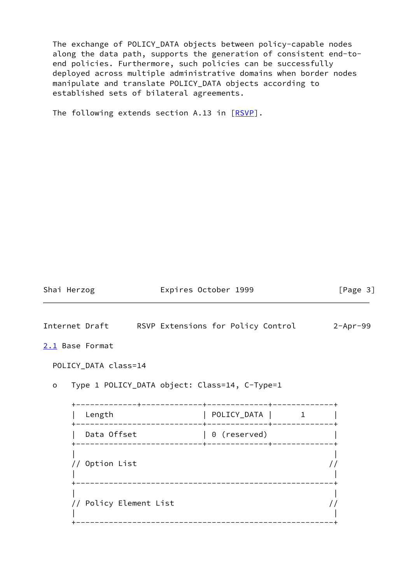The exchange of POLICY\_DATA objects between policy-capable nodes along the data path, supports the generation of consistent end-to end policies. Furthermore, such policies can be successfully deployed across multiple administrative domains when border nodes manipulate and translate POLICY\_DATA objects according to established sets of bilateral agreements.

The following extends section A.13 in [\[RSVP](#page-10-0)].

Shai Herzog **Expires October 1999** [Page 3]

<span id="page-3-1"></span>Internet Draft RSVP Extensions for Policy Control 2-Apr-99

<span id="page-3-0"></span>[2.1](#page-3-0) Base Format

POLICY\_DATA class=14

o Type 1 POLICY\_DATA object: Class=14, C-Type=1

 +-------------+-------------+-------------+-------------+ | Length | POLICY\_DATA | 1 | +---------------------------+-------------+-------------+ | Data Offset | 0 (reserved) | +---------------------------+-------------+-------------+ | | // Option List // | | +-------------------------------------------------------+ | | // Policy Element List // | | +-------------------------------------------------------+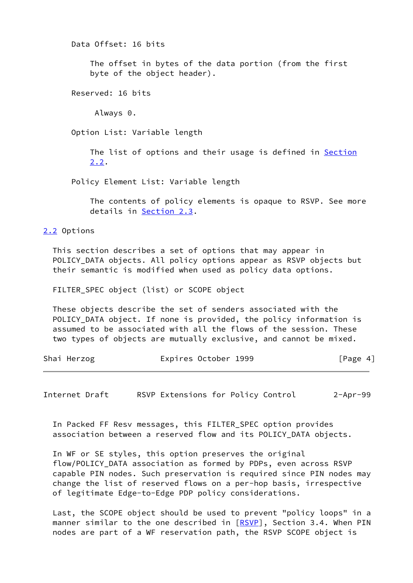Data Offset: 16 bits

 The offset in bytes of the data portion (from the first byte of the object header).

Reserved: 16 bits

Always 0.

Option List: Variable length

The list of options and their usage is defined in [Section](#page-4-0) [2.2](#page-4-0).

Policy Element List: Variable length

 The contents of policy elements is opaque to RSVP. See more details in [Section 2.3](#page-6-0).

<span id="page-4-0"></span>[2.2](#page-4-0) Options

 This section describes a set of options that may appear in POLICY\_DATA objects. All policy options appear as RSVP objects but their semantic is modified when used as policy data options.

FILTER\_SPEC object (list) or SCOPE object

 These objects describe the set of senders associated with the POLICY\_DATA object. If none is provided, the policy information is assumed to be associated with all the flows of the session. These two types of objects are mutually exclusive, and cannot be mixed.

| Shai Herzog | Expires October 1999 | [Page 4] |
|-------------|----------------------|----------|
|             |                      |          |

Internet Draft RSVP Extensions for Policy Control 2-Apr-99

 In Packed FF Resv messages, this FILTER\_SPEC option provides association between a reserved flow and its POLICY\_DATA objects.

 In WF or SE styles, this option preserves the original flow/POLICY\_DATA association as formed by PDPs, even across RSVP capable PIN nodes. Such preservation is required since PIN nodes may change the list of reserved flows on a per-hop basis, irrespective of legitimate Edge-to-Edge PDP policy considerations.

 Last, the SCOPE object should be used to prevent "policy loops" in a manner similar to the one described in [[RSVP\]](#page-10-0), Section 3.4. When PIN nodes are part of a WF reservation path, the RSVP SCOPE object is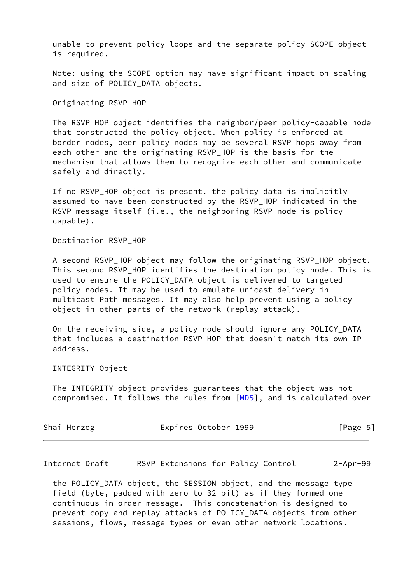unable to prevent policy loops and the separate policy SCOPE object is required.

 Note: using the SCOPE option may have significant impact on scaling and size of POLICY\_DATA objects.

Originating RSVP\_HOP

 The RSVP\_HOP object identifies the neighbor/peer policy-capable node that constructed the policy object. When policy is enforced at border nodes, peer policy nodes may be several RSVP hops away from each other and the originating RSVP\_HOP is the basis for the mechanism that allows them to recognize each other and communicate safely and directly.

If no RSVP HOP object is present, the policy data is implicitly assumed to have been constructed by the RSVP HOP indicated in the RSVP message itself (i.e., the neighboring RSVP node is policycapable).

Destination RSVP\_HOP

 A second RSVP\_HOP object may follow the originating RSVP\_HOP object. This second RSVP\_HOP identifies the destination policy node. This is used to ensure the POLICY\_DATA object is delivered to targeted policy nodes. It may be used to emulate unicast delivery in multicast Path messages. It may also help prevent using a policy object in other parts of the network (replay attack).

 On the receiving side, a policy node should ignore any POLICY\_DATA that includes a destination RSVP\_HOP that doesn't match its own IP address.

INTEGRITY Object

 The INTEGRITY object provides guarantees that the object was not compromised. It follows the rules from [[MD5](#page-10-6)], and is calculated over

| Shai Herzog | Expires October 1999 | [Page 5] |
|-------------|----------------------|----------|
|             |                      |          |

<span id="page-5-0"></span>Internet Draft RSVP Extensions for Policy Control 2-Apr-99

the POLICY DATA object, the SESSION object, and the message type field (byte, padded with zero to 32 bit) as if they formed one continuous in-order message. This concatenation is designed to prevent copy and replay attacks of POLICY\_DATA objects from other sessions, flows, message types or even other network locations.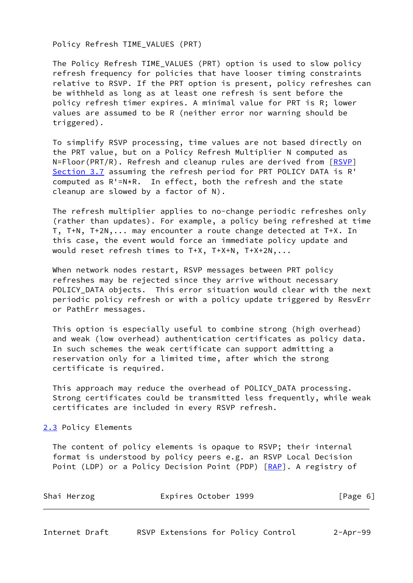Policy Refresh TIME\_VALUES (PRT)

The Policy Refresh TIME VALUES (PRT) option is used to slow policy refresh frequency for policies that have looser timing constraints relative to RSVP. If the PRT option is present, policy refreshes can be withheld as long as at least one refresh is sent before the policy refresh timer expires. A minimal value for PRT is R; lower values are assumed to be R (neither error nor warning should be triggered).

 To simplify RSVP processing, time values are not based directly on the PRT value, but on a Policy Refresh Multiplier N computed as N=Floor(PRT/R). Refresh and cleanup rules are derived from [[RSVP\]](#page-10-0) Section 3.7 assuming the refresh period for PRT POLICY DATA is R' computed as R'=N\*R. In effect, both the refresh and the state cleanup are slowed by a factor of N).

 The refresh multiplier applies to no-change periodic refreshes only (rather than updates). For example, a policy being refreshed at time T, T+N, T+2N,... may encounter a route change detected at T+X. In this case, the event would force an immediate policy update and would reset refresh times to T+X, T+X+N, T+X+2N,...

 When network nodes restart, RSVP messages between PRT policy refreshes may be rejected since they arrive without necessary POLICY\_DATA objects. This error situation would clear with the next periodic policy refresh or with a policy update triggered by ResvErr or PathErr messages.

 This option is especially useful to combine strong (high overhead) and weak (low overhead) authentication certificates as policy data. In such schemes the weak certificate can support admitting a reservation only for a limited time, after which the strong certificate is required.

 This approach may reduce the overhead of POLICY\_DATA processing. Strong certificates could be transmitted less frequently, while weak certificates are included in every RSVP refresh.

<span id="page-6-0"></span>[2.3](#page-6-0) Policy Elements

 The content of policy elements is opaque to RSVP; their internal format is understood by policy peers e.g. an RSVP Local Decision Point (LDP) or a Policy Decision Point (PDP) [\[RAP](#page-10-1)]. A registry of

<span id="page-6-1"></span>

| Shai Herzog | Expires October 1999 | [Page 6] |
|-------------|----------------------|----------|
|             |                      |          |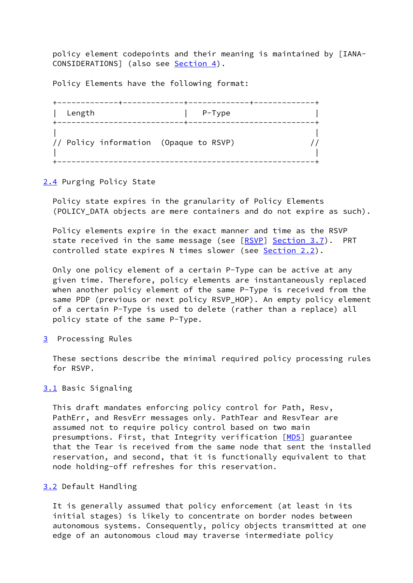policy element codepoints and their meaning is maintained by [IANA- CONSIDERATIONS] (also see [Section 4](#page-9-0)).

Policy Elements have the following format:

| Length                                 | $P-Type$ |  |
|----------------------------------------|----------|--|
| // Policy information (Opaque to RSVP) |          |  |

<span id="page-7-0"></span>[2.4](#page-7-0) Purging Policy State

 Policy state expires in the granularity of Policy Elements (POLICY\_DATA objects are mere containers and do not expire as such).

 Policy elements expire in the exact manner and time as the RSVP state received in the same message (see [\[RSVP](#page-10-0)] Section 3.7). PRT controlled state expires N times slower (see [Section 2.2\)](#page-4-0).

 Only one policy element of a certain P-Type can be active at any given time. Therefore, policy elements are instantaneously replaced when another policy element of the same P-Type is received from the same PDP (previous or next policy RSVP\_HOP). An empty policy element of a certain P-Type is used to delete (rather than a replace) all policy state of the same P-Type.

<span id="page-7-1"></span>[3](#page-7-1) Processing Rules

 These sections describe the minimal required policy processing rules for RSVP.

#### <span id="page-7-2"></span>[3.1](#page-7-2) Basic Signaling

 This draft mandates enforcing policy control for Path, Resv, PathErr, and ResvErr messages only. PathTear and ResvTear are assumed not to require policy control based on two main presumptions. First, that Integrity verification [\[MD5](#page-10-6)] guarantee that the Tear is received from the same node that sent the installed reservation, and second, that it is functionally equivalent to that node holding-off refreshes for this reservation.

# <span id="page-7-3"></span>[3.2](#page-7-3) Default Handling

 It is generally assumed that policy enforcement (at least in its initial stages) is likely to concentrate on border nodes between autonomous systems. Consequently, policy objects transmitted at one edge of an autonomous cloud may traverse intermediate policy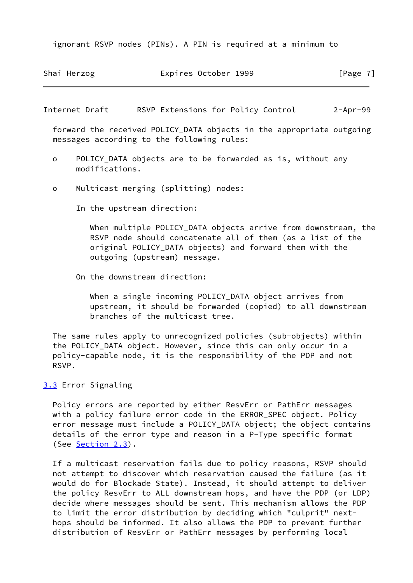ignorant RSVP nodes (PINs). A PIN is required at a minimum to

|  |  | Shai Herzog | Expires October 1999 |  | [Page 7] |
|--|--|-------------|----------------------|--|----------|
|--|--|-------------|----------------------|--|----------|

<span id="page-8-1"></span>Internet Draft RSVP Extensions for Policy Control 2-Apr-99

 forward the received POLICY\_DATA objects in the appropriate outgoing messages according to the following rules:

- o POLICY\_DATA objects are to be forwarded as is, without any modifications.
- o Multicast merging (splitting) nodes:

In the upstream direction:

When multiple POLICY DATA objects arrive from downstream, the RSVP node should concatenate all of them (as a list of the original POLICY\_DATA objects) and forward them with the outgoing (upstream) message.

On the downstream direction:

When a single incoming POLICY DATA object arrives from upstream, it should be forwarded (copied) to all downstream branches of the multicast tree.

 The same rules apply to unrecognized policies (sub-objects) within the POLICY\_DATA object. However, since this can only occur in a policy-capable node, it is the responsibility of the PDP and not RSVP.

<span id="page-8-0"></span>[3.3](#page-8-0) Error Signaling

 Policy errors are reported by either ResvErr or PathErr messages with a policy failure error code in the ERROR\_SPEC object. Policy error message must include a POLICY\_DATA object; the object contains details of the error type and reason in a P-Type specific format (See [Section 2.3\)](#page-6-0).

 If a multicast reservation fails due to policy reasons, RSVP should not attempt to discover which reservation caused the failure (as it would do for Blockade State). Instead, it should attempt to deliver the policy ResvErr to ALL downstream hops, and have the PDP (or LDP) decide where messages should be sent. This mechanism allows the PDP to limit the error distribution by deciding which "culprit" next hops should be informed. It also allows the PDP to prevent further distribution of ResvErr or PathErr messages by performing local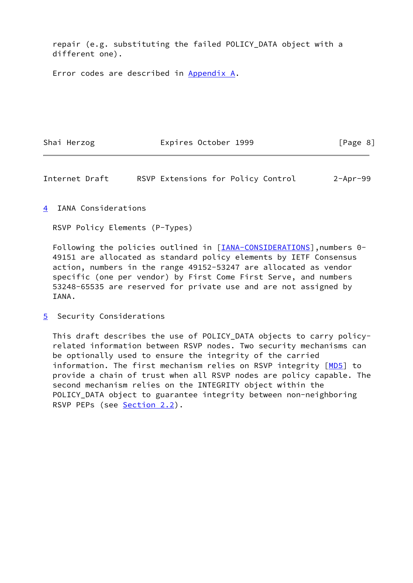repair (e.g. substituting the failed POLICY\_DATA object with a different one).

Error codes are described in Appendix A.

Shai Herzog **Expires October 1999** [Page 8]

<span id="page-9-1"></span>Internet Draft RSVP Extensions for Policy Control 2-Apr-99

<span id="page-9-0"></span>[4](#page-9-0) IANA Considerations

RSVP Policy Elements (P-Types)

 Following the policies outlined in [[IANA-CONSIDERATIONS](#page-10-7)],numbers 0- 49151 are allocated as standard policy elements by IETF Consensus action, numbers in the range 49152-53247 are allocated as vendor specific (one per vendor) by First Come First Serve, and numbers 53248-65535 are reserved for private use and are not assigned by IANA.

<span id="page-9-2"></span>[5](#page-9-2) Security Considerations

 This draft describes the use of POLICY\_DATA objects to carry policy related information between RSVP nodes. Two security mechanisms can be optionally used to ensure the integrity of the carried information. The first mechanism relies on RSVP integrity [\[MD5](#page-10-6)] to provide a chain of trust when all RSVP nodes are policy capable. The second mechanism relies on the INTEGRITY object within the POLICY\_DATA object to guarantee integrity between non-neighboring RSVP PEPs (see [Section 2.2](#page-4-0)).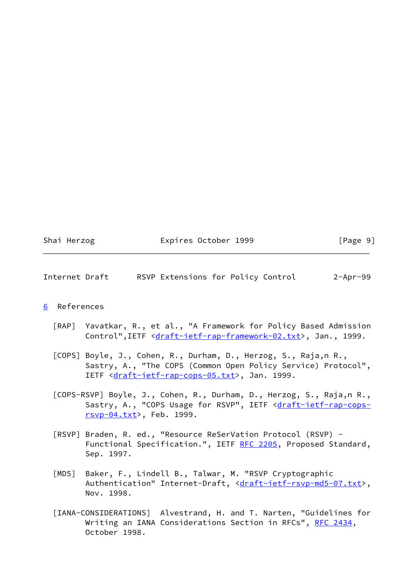|  | Shai | Herzog |
|--|------|--------|
|--|------|--------|

# Expires October 1999 [Page 9]

#### <span id="page-10-5"></span>Internet Draft RSVP Extensions for Policy Control 2-Apr-99

#### <span id="page-10-4"></span>[6](#page-10-4) References

- <span id="page-10-1"></span> [RAP] Yavatkar, R., et al., "A Framework for Policy Based Admission Control", IETF [<draft-ietf-rap-framework-02.txt](https://datatracker.ietf.org/doc/pdf/draft-ietf-rap-framework-02.txt)>, Jan., 1999.
- <span id="page-10-2"></span> [COPS] Boyle, J., Cohen, R., Durham, D., Herzog, S., Raja,n R., Sastry, A., "The COPS (Common Open Policy Service) Protocol", IETF <[draft-ietf-rap-cops-05.txt>](https://datatracker.ietf.org/doc/pdf/draft-ietf-rap-cops-05.txt), Jan. 1999.
- <span id="page-10-3"></span> [COPS-RSVP] Boyle, J., Cohen, R., Durham, D., Herzog, S., Raja,n R., Sastry, A., "COPS Usage for RSVP", IETF <[draft-ietf-rap-cops](https://datatracker.ietf.org/doc/pdf/draft-ietf-rap-cops-rsvp-04.txt) [rsvp-04.txt](https://datatracker.ietf.org/doc/pdf/draft-ietf-rap-cops-rsvp-04.txt)>, Feb. 1999.
- <span id="page-10-0"></span> [RSVP] Braden, R. ed., "Resource ReSerVation Protocol (RSVP) - Functional Specification.", IETF [RFC 2205,](https://datatracker.ietf.org/doc/pdf/rfc2205) Proposed Standard, Sep. 1997.
- <span id="page-10-6"></span> [MD5] Baker, F., Lindell B., Talwar, M. "RSVP Cryptographic Authentication" Internet-Draft, <[draft-ietf-rsvp-md5-07.txt>](https://datatracker.ietf.org/doc/pdf/draft-ietf-rsvp-md5-07.txt), Nov. 1998.
- <span id="page-10-7"></span> [IANA-CONSIDERATIONS] Alvestrand, H. and T. Narten, "Guidelines for Writing an IANA Considerations Section in RFCs", [RFC 2434,](https://datatracker.ietf.org/doc/pdf/rfc2434) October 1998.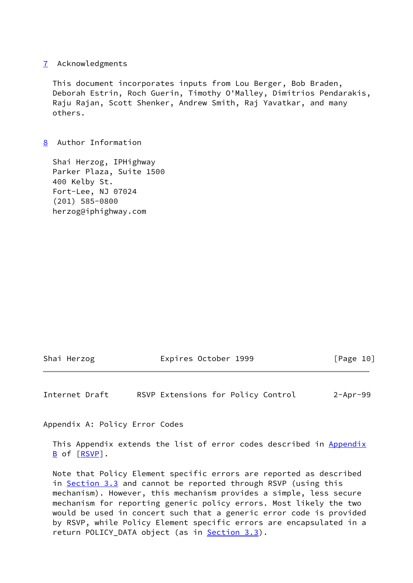#### <span id="page-11-0"></span>[7](#page-11-0) Acknowledgments

 This document incorporates inputs from Lou Berger, Bob Braden, Deborah Estrin, Roch Guerin, Timothy O'Malley, Dimitrios Pendarakis, Raju Rajan, Scott Shenker, Andrew Smith, Raj Yavatkar, and many others.

# <span id="page-11-1"></span>[8](#page-11-1) Author Information

 Shai Herzog, IPHighway Parker Plaza, Suite 1500 400 Kelby St. Fort-Lee, NJ 07024 (201) 585-0800 herzog@iphighway.com

Shai Herzog **Expires October 1999** [Page 10]

<span id="page-11-2"></span>Internet Draft RSVP Extensions for Policy Control 2-Apr-99

Appendix A: Policy Error Codes

This Appendix extends the list of error codes described in Appendix B of [\[RSVP](#page-10-0)].

 Note that Policy Element specific errors are reported as described in [Section 3.3](#page-8-0) and cannot be reported through RSVP (using this mechanism). However, this mechanism provides a simple, less secure mechanism for reporting generic policy errors. Most likely the two would be used in concert such that a generic error code is provided by RSVP, while Policy Element specific errors are encapsulated in a return POLICY\_DATA object (as in **Section 3.3**).